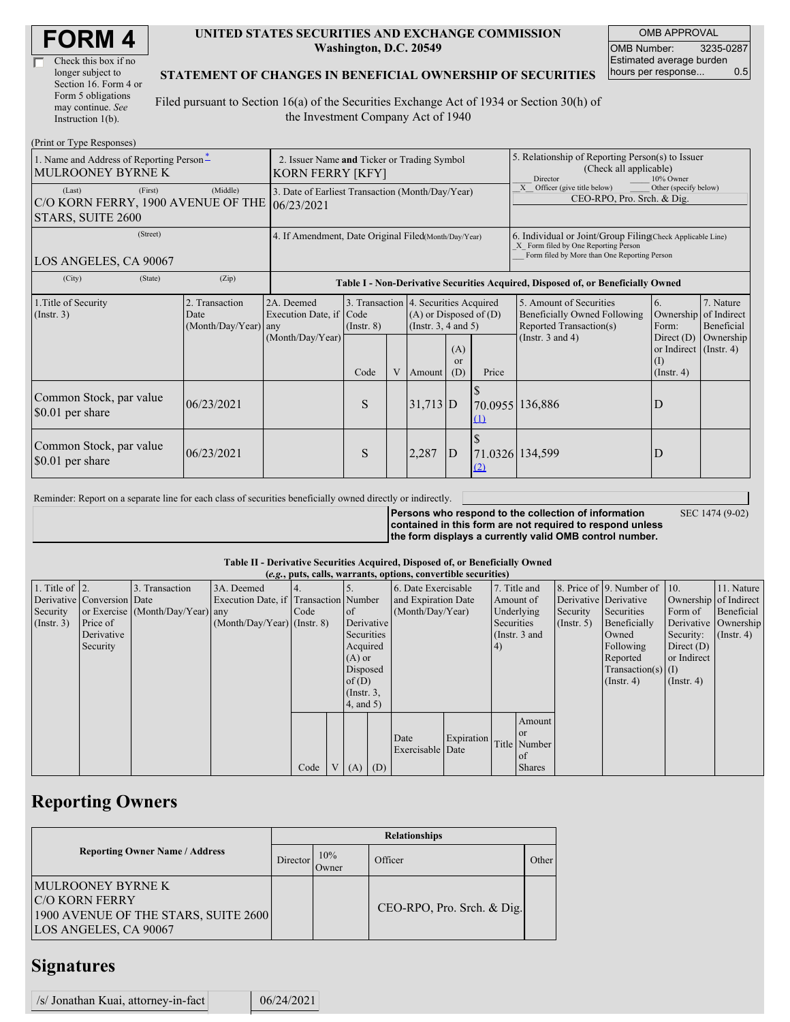| <b>FORM4</b> |
|--------------|
|--------------|

| Check this box if no  |
|-----------------------|
| longer subject to     |
| Section 16. Form 4 or |
| Form 5 obligations    |
| may continue. See     |
| Instruction 1(b).     |

 $(D_{\text{rint}} \text{ or } T_{\text{VMA}} D$ 

#### **UNITED STATES SECURITIES AND EXCHANGE COMMISSION Washington, D.C. 20549**

OMB APPROVAL OMB Number: 3235-0287 Estimated average burden hours per response... 0.5

#### **STATEMENT OF CHANGES IN BENEFICIAL OWNERSHIP OF SECURITIES**

Filed pursuant to Section 16(a) of the Securities Exchange Act of 1934 or Section 30(h) of the Investment Company Act of 1940

| $(1 \text{ min of 1 ypc }$ Responses)<br>1. Name and Address of Reporting Person-<br>MULROONEY BYRNE K | 2. Issuer Name and Ticker or Trading Symbol<br><b>KORN FERRY [KFY]</b> |                                                                                  |                 |   |                                                                                                 |                         | 5. Relationship of Reporting Person(s) to Issuer<br>(Check all applicable)<br>10% Owner<br>Director                                                |                                                                                           |                                                                         |                                                  |
|--------------------------------------------------------------------------------------------------------|------------------------------------------------------------------------|----------------------------------------------------------------------------------|-----------------|---|-------------------------------------------------------------------------------------------------|-------------------------|----------------------------------------------------------------------------------------------------------------------------------------------------|-------------------------------------------------------------------------------------------|-------------------------------------------------------------------------|--------------------------------------------------|
| (First)<br>(Last)<br>C/O KORN FERRY, 1900 AVENUE OF THE<br>STARS, SUITE 2600                           | 3. Date of Earliest Transaction (Month/Day/Year)<br>06/23/2021         |                                                                                  |                 |   |                                                                                                 |                         | Other (specify below)<br>X Officer (give title below)<br>CEO-RPO, Pro. Srch. & Dig.                                                                |                                                                                           |                                                                         |                                                  |
| (Street)<br>LOS ANGELES, CA 90067                                                                      | 4. If Amendment, Date Original Filed(Month/Day/Year)                   |                                                                                  |                 |   |                                                                                                 |                         | 6. Individual or Joint/Group Filing Check Applicable Line)<br>X Form filed by One Reporting Person<br>Form filed by More than One Reporting Person |                                                                                           |                                                                         |                                                  |
| (City)<br>(State)                                                                                      | (Zip)                                                                  | Table I - Non-Derivative Securities Acquired, Disposed of, or Beneficially Owned |                 |   |                                                                                                 |                         |                                                                                                                                                    |                                                                                           |                                                                         |                                                  |
| 1. Title of Security<br>(Insert. 3)                                                                    | 2. Transaction<br>Date<br>(Month/Day/Year)                             | 2A. Deemed<br>Execution Date, if Code<br>any                                     | $($ Instr. $8)$ |   | 3. Transaction 4. Securities Acquired<br>$(A)$ or Disposed of $(D)$<br>(Instr. $3, 4$ and $5$ ) |                         |                                                                                                                                                    | 5. Amount of Securities<br><b>Beneficially Owned Following</b><br>Reported Transaction(s) | 6.<br>Form:                                                             | 7. Nature<br>Ownership of Indirect<br>Beneficial |
|                                                                                                        |                                                                        | (Month/Day/Year)                                                                 | Code            | V | Amount                                                                                          | (A)<br><b>or</b><br>(D) | Price                                                                                                                                              | (Instr. $3$ and $4$ )                                                                     | Direct $(D)$<br>or Indirect $($ Instr. 4 $)$<br>(I)<br>$($ Instr. 4 $)$ | Ownership                                        |
| Common Stock, par value<br>\$0.01 per share                                                            | 06/23/2021                                                             |                                                                                  | S               |   | $31,713$ D                                                                                      |                         | (1)                                                                                                                                                | 70.0955 136,886                                                                           | D                                                                       |                                                  |
| Common Stock, par value<br>$\$\,0.01\,$ per share                                                      | 06/23/2021                                                             |                                                                                  | S               |   | 2,287                                                                                           | $\mathbf{D}$            | (2)                                                                                                                                                | 71.0326 134,599                                                                           | D                                                                       |                                                  |

Reminder: Report on a separate line for each class of securities beneficially owned directly or indirectly.

**Persons who respond to the collection of information contained in this form are not required to respond unless the form displays a currently valid OMB control number.** SEC 1474 (9-02)

### **Table II - Derivative Securities Acquired, Disposed of, or Beneficially Owned**

| (e.g., puts, calls, warrants, options, convertible securities) |                            |                                  |                                       |      |  |                 |     |                     |            |               |               |                       |                          |                  |                      |
|----------------------------------------------------------------|----------------------------|----------------------------------|---------------------------------------|------|--|-----------------|-----|---------------------|------------|---------------|---------------|-----------------------|--------------------------|------------------|----------------------|
| 1. Title of $\vert$ 2.                                         |                            | 3. Transaction                   | 3A. Deemed                            |      |  |                 |     | 6. Date Exercisable |            | 7. Title and  |               |                       | 8. Price of 9. Number of | $\vert$ 10.      | 11. Nature           |
|                                                                | Derivative Conversion Date |                                  | Execution Date, if Transaction Number |      |  |                 |     | and Expiration Date | Amount of  |               |               | Derivative Derivative | Ownership of Indirect    |                  |                      |
| Security                                                       |                            | or Exercise (Month/Day/Year) any |                                       | Code |  | <sub>of</sub>   |     | (Month/Day/Year)    |            | Underlying    | Security      | Securities            | Form of                  | Beneficial       |                      |
| (Insert. 3)                                                    | Price of                   |                                  | $(Month/Day/Year)$ (Instr. 8)         |      |  | Derivative      |     |                     |            | Securities    |               | $($ Instr. 5 $)$      | Beneficially             |                  | Derivative Ownership |
|                                                                | Derivative                 |                                  |                                       |      |  | Securities      |     |                     |            | (Instr. 3 and |               |                       | Owned                    | Security:        | $($ Instr. 4)        |
|                                                                | Security                   |                                  |                                       |      |  | Acquired        |     |                     |            | (4)           |               |                       | Following                | Direct $(D)$     |                      |
|                                                                |                            |                                  |                                       |      |  | $(A)$ or        |     |                     |            |               |               |                       | Reported                 | or Indirect      |                      |
|                                                                |                            |                                  |                                       |      |  | Disposed        |     |                     |            |               |               |                       | $Transaction(s)$ (I)     |                  |                      |
|                                                                |                            |                                  |                                       |      |  | of $(D)$        |     |                     |            |               |               |                       | $($ Instr. 4 $)$         | $($ Instr. 4 $)$ |                      |
|                                                                |                            |                                  |                                       |      |  | $($ Instr. $3,$ |     |                     |            |               |               |                       |                          |                  |                      |
|                                                                |                            |                                  |                                       |      |  | $4$ , and $5$ ) |     |                     |            |               |               |                       |                          |                  |                      |
|                                                                |                            |                                  |                                       |      |  |                 |     |                     |            |               | Amount        |                       |                          |                  |                      |
|                                                                |                            |                                  |                                       |      |  |                 |     |                     |            |               | l or          |                       |                          |                  |                      |
|                                                                |                            |                                  |                                       |      |  |                 |     | Date                | Expiration |               | Title Number  |                       |                          |                  |                      |
|                                                                |                            |                                  |                                       |      |  |                 |     | Exercisable Date    |            |               | l of          |                       |                          |                  |                      |
|                                                                |                            |                                  |                                       | Code |  | V(A)            | (D) |                     |            |               | <b>Shares</b> |                       |                          |                  |                      |

## **Reporting Owners**

|                                                                                                                    | <b>Relationships</b> |              |                              |       |  |  |  |  |  |
|--------------------------------------------------------------------------------------------------------------------|----------------------|--------------|------------------------------|-------|--|--|--|--|--|
| <b>Reporting Owner Name / Address</b>                                                                              |                      | 10%<br>Dwner | Officer                      | Other |  |  |  |  |  |
| <b>MULROONEY BYRNE K</b><br><b>C/O KORN FERRY</b><br>1900 AVENUE OF THE STARS, SUITE 2600<br>LOS ANGELES, CA 90067 |                      |              | $CEO-RPO, Pro. Srch. & Dig.$ |       |  |  |  |  |  |

### **Signatures**

| /s/ Jonathan Kuai, attorney-in-fact |  | 06/24/2021 |
|-------------------------------------|--|------------|
|-------------------------------------|--|------------|